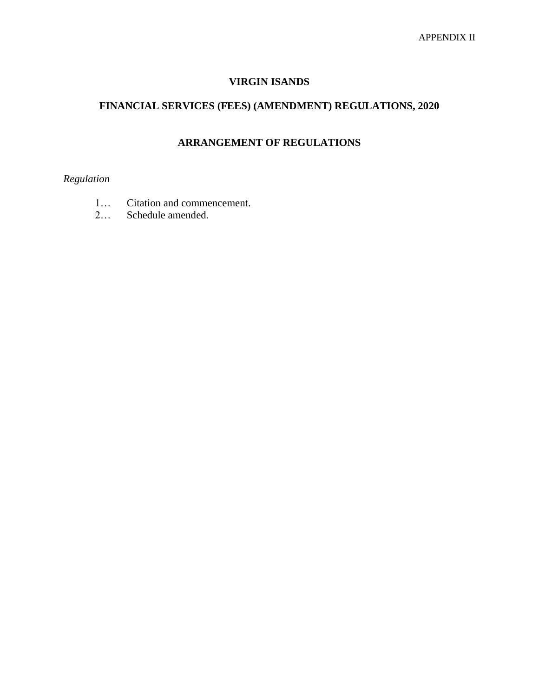## **VIRGIN ISANDS**

## **FINANCIAL SERVICES (FEES) (AMENDMENT) REGULATIONS, 2020**

# **ARRANGEMENT OF REGULATIONS**

### *Regulation*

- 1… Citation and commencement.
- 2… Schedule amended.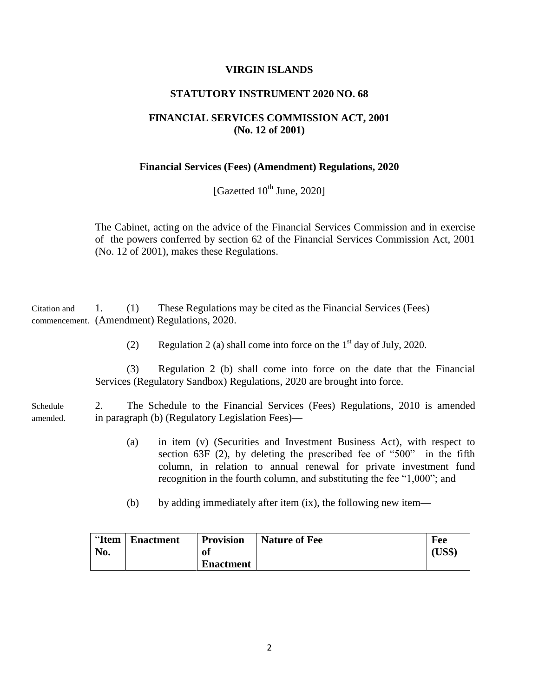#### **VIRGIN ISLANDS**

#### **STATUTORY INSTRUMENT 2020 NO. 68**

#### **FINANCIAL SERVICES COMMISSION ACT, 2001 (No. 12 of 2001)**

#### **Financial Services (Fees) (Amendment) Regulations, 2020**

[Gazetted 10<sup>th</sup> June, 2020]

The Cabinet, acting on the advice of the Financial Services Commission and in exercise of the powers conferred by section 62 of the Financial Services Commission Act, 2001 (No. 12 of 2001), makes these Regulations.

Citation and 1. (1) These Regulations may be cited as the Financial Services (Fees) commencement. (Amendment) Regulations, 2020.

(2) Regulation 2 (a) shall come into force on the  $1<sup>st</sup>$  day of July, 2020.

(3) Regulation 2 (b) shall come into force on the date that the Financial Services (Regulatory Sandbox) Regulations, 2020 are brought into force.

Schedule 2. The Schedule to the Financial Services (Fees) Regulations, 2010 is amended amended. in paragraph (b) (Regulatory Legislation Fees)—

- (a) in item (v) (Securities and Investment Business Act), with respect to section 63F (2), by deleting the prescribed fee of "500" in the fifth column, in relation to annual renewal for private investment fund recognition in the fourth column, and substituting the fee "1,000"; and
- (b) by adding immediately after item (ix), the following new item—

| "Item | <b>Enactment</b> | <b>Provision</b> | <b>Nature of Fee</b> | Fee    |
|-------|------------------|------------------|----------------------|--------|
| No.   |                  | 01               |                      | (US\$) |
|       |                  | <b>Enactment</b> |                      |        |